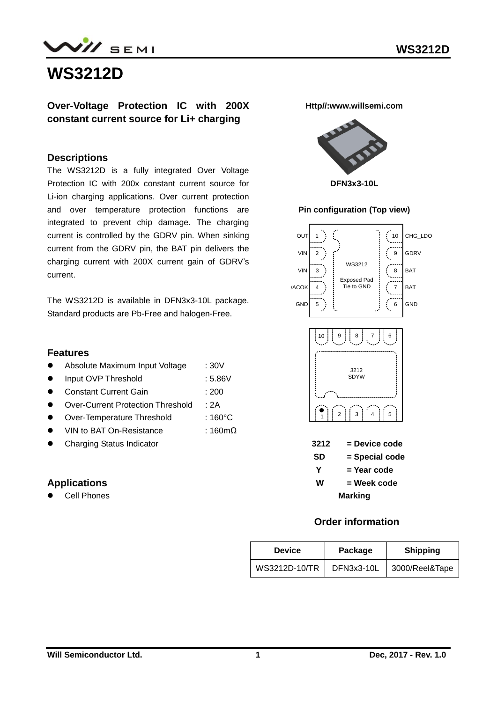# **WS3212D**

**Over-Voltage Protection IC with 200X constant current source for Li+ charging**

### **Descriptions**

The WS3212D is a fully integrated Over Voltage Protection IC with 200x constant current source for Li-ion charging applications. Over current protection and over temperature protection functions are integrated to prevent chip damage. The charging current is controlled by the GDRV pin. When sinking current from the GDRV pin, the BAT pin delivers the charging current with 200X current gain of GDRV's current.

The WS3212D is available in DFN3x3-10L package. Standard products are Pb-Free and halogen-Free.

#### **Features**

- Absolute Maximum Input Voltage : 30V
- Input OVP Threshold : 5.86V
- Constant Current Gain : 200
- Over-Current Protection Threshold : 2A
- Over-Temperature Threshold : 160°C
- VIN to BAT On-Resistance : 160mΩ
- **•** Charging Status Indicator

### **Applications**

Cell Phones

**Http//:www.willsemi.com**



#### **Pin configuration (Top view)**



### **Order information**

| <b>Device</b> | Package    | <b>Shipping</b> |
|---------------|------------|-----------------|
| WS3212D-10/TR | DFN3x3-10L | 3000/Reel&Tape  |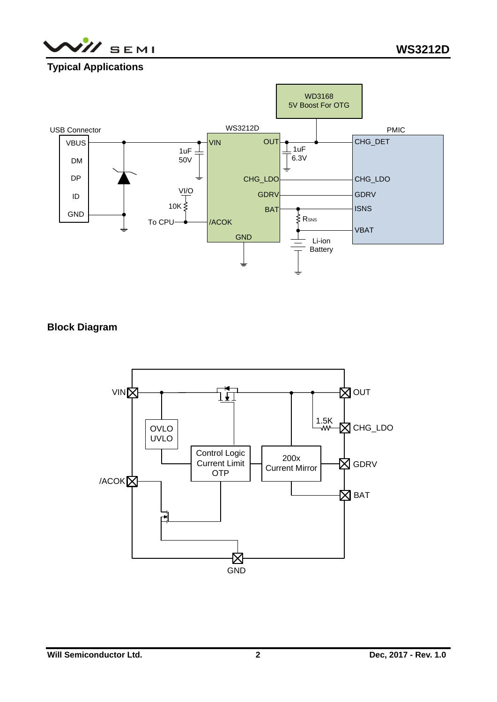

## **Typical Applications**



## **Block Diagram**

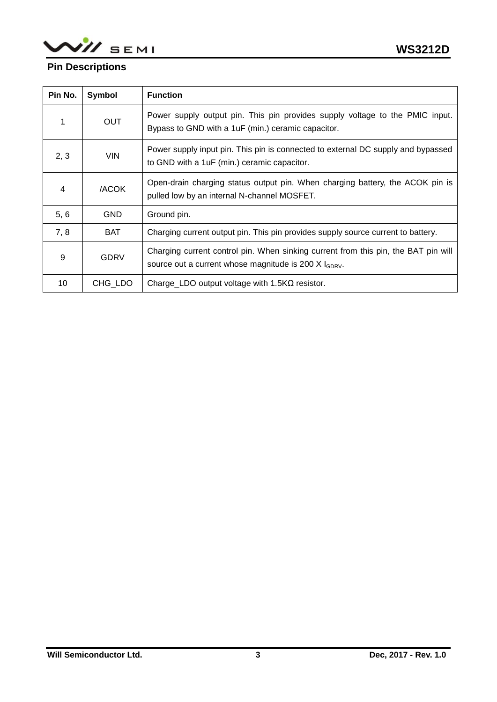WII SEMI

## **Pin Descriptions**

| Pin No. | Symbol      | <b>Function</b>                                                                                                                                          |
|---------|-------------|----------------------------------------------------------------------------------------------------------------------------------------------------------|
|         | <b>OUT</b>  | Power supply output pin. This pin provides supply voltage to the PMIC input.<br>Bypass to GND with a 1uF (min.) ceramic capacitor.                       |
| 2, 3    | <b>VIN</b>  | Power supply input pin. This pin is connected to external DC supply and bypassed<br>to GND with a 1uF (min.) ceramic capacitor.                          |
| 4       | /ACOK       | Open-drain charging status output pin. When charging battery, the ACOK pin is<br>pulled low by an internal N-channel MOSFET.                             |
| 5, 6    | <b>GND</b>  | Ground pin.                                                                                                                                              |
| 7, 8    | <b>BAT</b>  | Charging current output pin. This pin provides supply source current to battery.                                                                         |
| 9       | <b>GDRV</b> | Charging current control pin. When sinking current from this pin, the BAT pin will<br>source out a current whose magnitude is 200 $X$ $_{\text{GDRV}}$ . |
| 10      | CHG LDO     | Charge_LDO output voltage with $1.5K\Omega$ resistor.                                                                                                    |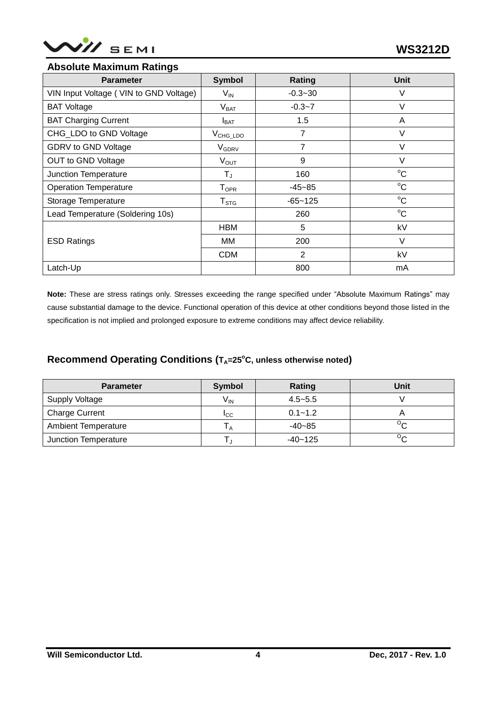

## **Absolute Maximum Ratings**

| <b>Parameter</b>                       | <b>Symbol</b>                | Rating      | <b>Unit</b> |  |
|----------------------------------------|------------------------------|-------------|-------------|--|
| VIN Input Voltage (VIN to GND Voltage) | $V_{IN}$                     | $-0.3 - 30$ | V           |  |
| <b>BAT Voltage</b>                     | V <sub>BAT</sub>             | $-0.3 - 7$  | V           |  |
| <b>BAT Charging Current</b>            | $I_{\text{BAT}}$             | 1.5         | A           |  |
| CHG_LDO to GND Voltage                 | $V_{CHG\_LDO}$               | 7           | $\vee$      |  |
| GDRV to GND Voltage                    | V <sub>GDRV</sub>            | 7           | $\vee$      |  |
| OUT to GND Voltage                     | $V_{OUT}$                    | 9           | V           |  |
| Junction Temperature                   | TJ                           | 160         | $^{\circ}C$ |  |
| <b>Operation Temperature</b>           | ${\mathsf T}_{\textsf{OPR}}$ | $-45 - 85$  | $^{\circ}C$ |  |
| Storage Temperature                    | ${\sf T}_{\text{STG}}$       | $-65 - 125$ | $^{\circ}C$ |  |
| Lead Temperature (Soldering 10s)       |                              | 260         | $^{\circ}C$ |  |
|                                        | <b>HBM</b>                   | 5           | kV          |  |
| <b>ESD Ratings</b>                     | МM                           | 200         | V           |  |
|                                        | <b>CDM</b>                   | 2           | kV          |  |
| Latch-Up                               |                              | 800         | mA          |  |

**Note:** These are stress ratings only. Stresses exceeding the range specified under "Absolute Maximum Ratings" may cause substantial damage to the device. Functional operation of this device at other conditions beyond those listed in the specification is not implied and prolonged exposure to extreme conditions may affect device reliability.

### Recommend Operating Conditions ( $T_A = 25^\circ C$ , unless otherwise noted)

| <b>Parameter</b>           | Symbol          | Rating      | Unit |
|----------------------------|-----------------|-------------|------|
| Supply Voltage             | V <sub>IN</sub> | $4.5 - 5.5$ |      |
| <b>Charge Current</b>      | ICC             | $0.1 - 1.2$ |      |
| <b>Ambient Temperature</b> | ΙA              | $-40-85$    |      |
| Junction Temperature       |                 | $-40 - 125$ | ∽    |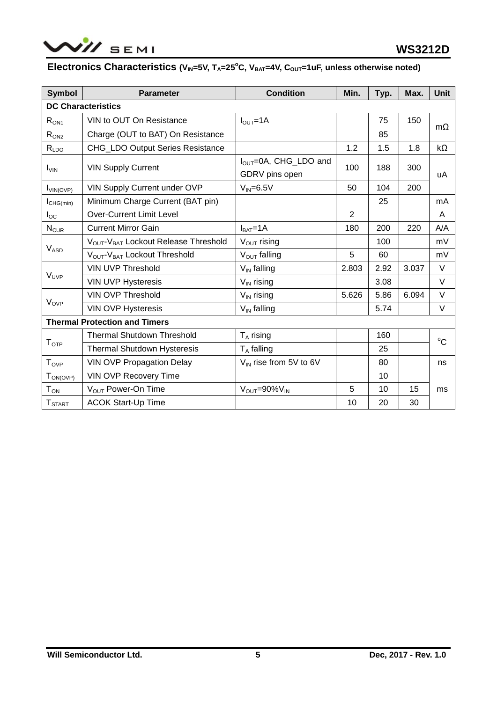

## **Electronics Characteristics** (V<sub>IN</sub>=5V, T<sub>A</sub>=25<sup>°</sup>C, V<sub>BAT</sub>=4V, C<sub>OUT</sub>=1uF, unless otherwise noted)

| Symbol                    | <b>Parameter</b>                                             | <b>Condition</b>                                           | Min.           | Typ. | Max.  | <b>Unit</b> |  |  |
|---------------------------|--------------------------------------------------------------|------------------------------------------------------------|----------------|------|-------|-------------|--|--|
| <b>DC Characteristics</b> |                                                              |                                                            |                |      |       |             |  |  |
| $R_{ON1}$                 | VIN to OUT On Resistance                                     | $IOUT=1A$                                                  |                | 75   | 150   | $m\Omega$   |  |  |
| R <sub>ON2</sub>          | Charge (OUT to BAT) On Resistance                            |                                                            |                | 85   |       |             |  |  |
| R <sub>LDO</sub>          | CHG_LDO Output Series Resistance                             |                                                            | 1.2            | 1.5  | 1.8   | $k\Omega$   |  |  |
| $I_{VIN}$                 | <b>VIN Supply Current</b>                                    | I <sub>OUT</sub> =0A, CHG_LDO and<br>100<br>GDRV pins open |                | 188  | 300   | uA          |  |  |
| $I_{VIN(OVP)}$            | VIN Supply Current under OVP                                 | $V_{IN} = 6.5V$                                            | 50             | 104  | 200   |             |  |  |
| $I_{CHG(min)}$            | Minimum Charge Current (BAT pin)                             |                                                            |                | 25   |       | mA          |  |  |
| $I_{\rm OC}$              | <b>Over-Current Limit Level</b>                              |                                                            | $\overline{2}$ |      |       | A           |  |  |
| $N_{CUR}$                 | <b>Current Mirror Gain</b>                                   | $IBAT=1A$                                                  | 180            | 200  | 220   | A/A         |  |  |
|                           | V <sub>OUT</sub> -V <sub>BAT</sub> Lockout Release Threshold | $V_{\text{OUT}}$ rising                                    |                | 100  |       | mV          |  |  |
| <b>V<sub>ASD</sub></b>    | V <sub>OUT</sub> -V <sub>BAT</sub> Lockout Threshold         | $V_{\text{OUT}}$ falling                                   | 5              | 60   |       | mV          |  |  |
|                           | <b>VIN UVP Threshold</b>                                     | $V_{IN}$ falling                                           | 2.803          | 2.92 | 3.037 | V           |  |  |
| V <sub>UVP</sub>          | <b>VIN UVP Hysteresis</b>                                    | $V_{IN}$ rising                                            |                | 3.08 |       | $\vee$      |  |  |
|                           | <b>VIN OVP Threshold</b>                                     | $V_{IN}$ rising                                            | 5.626          | 5.86 | 6.094 | $\vee$      |  |  |
| <b>V<sub>OVP</sub></b>    | <b>VIN OVP Hysteresis</b>                                    | $V_{IN}$ falling                                           |                | 5.74 |       | V           |  |  |
|                           | <b>Thermal Protection and Timers</b>                         |                                                            |                |      |       |             |  |  |
|                           | <b>Thermal Shutdown Threshold</b>                            | $T_A$ rising                                               | 160            |      |       | $^{\circ}C$ |  |  |
| T <sub>OTP</sub>          | Thermal Shutdown Hysteresis                                  | $T_A$ falling                                              |                | 25   |       |             |  |  |
| <b>Tove</b>               | <b>VIN OVP Propagation Delay</b>                             | $V_{IN}$ rise from 5V to 6V                                |                | 80   |       | ns          |  |  |
| $T_{ON(OVP)}$             | VIN OVP Recovery Time                                        |                                                            |                | 10   |       |             |  |  |
| $T_{ON}$                  | V <sub>OUT</sub> Power-On Time                               | $V_{\text{OUT}} = 90\%V_{\text{IN}}$                       | 5              | 10   | 15    | ms          |  |  |
| <b>T</b> <sub>START</sub> | <b>ACOK Start-Up Time</b>                                    |                                                            | 10             | 20   | 30    |             |  |  |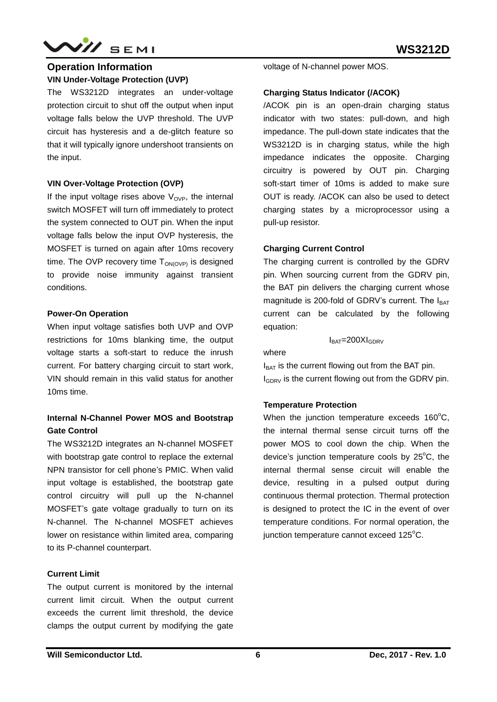

## **Operation Information VIN Under-Voltage Protection (UVP)**

The WS3212D integrates an under-voltage protection circuit to shut off the output when input voltage falls below the UVP threshold. The UVP circuit has hysteresis and a de-glitch feature so that it will typically ignore undershoot transients on the input.

#### **VIN Over-Voltage Protection (OVP)**

If the input voltage rises above  $V_{\alpha \nu P}$ , the internal switch MOSFET will turn off immediately to protect the system connected to OUT pin. When the input voltage falls below the input OVP hysteresis, the MOSFET is turned on again after 10ms recovery time. The OVP recovery time  $T_{OMOVP}$  is designed to provide noise immunity against transient conditions.

#### **Power-On Operation**

When input voltage satisfies both UVP and OVP restrictions for 10ms blanking time, the output voltage starts a soft-start to reduce the inrush current. For battery charging circuit to start work, VIN should remain in this valid status for another 10ms time.

## **Internal N-Channel Power MOS and Bootstrap Gate Control**

The WS3212D integrates an N-channel MOSFET with bootstrap gate control to replace the external NPN transistor for cell phone's PMIC. When valid input voltage is established, the bootstrap gate control circuitry will pull up the N-channel MOSFET's gate voltage gradually to turn on its N-channel. The N-channel MOSFET achieves lower on resistance within limited area, comparing to its P-channel counterpart.

#### **Current Limit**

The output current is monitored by the internal current limit circuit. When the output current exceeds the current limit threshold, the device clamps the output current by modifying the gate voltage of N-channel power MOS.

#### **Charging Status Indicator (/ACOK)**

/ACOK pin is an open-drain charging status indicator with two states: pull-down, and high impedance. The pull-down state indicates that the WS3212D is in charging status, while the high impedance indicates the opposite. Charging circuitry is powered by OUT pin. Charging soft-start timer of 10ms is added to make sure OUT is ready. /ACOK can also be used to detect charging states by a microprocessor using a pull-up resistor.

#### **Charging Current Control**

The charging current is controlled by the GDRV pin. When sourcing current from the GDRV pin, the BAT pin delivers the charging current whose magnitude is 200-fold of GDRV's current. The  $I<sub>BAT</sub>$ current can be calculated by the following equation:

 $I<sub>BAT</sub>=200XI<sub>GDRV</sub>$ 

where

 $I_{BAT}$  is the current flowing out from the BAT pin.  $I_{\text{GDRV}}$  is the current flowing out from the GDRV pin.

#### **Temperature Protection**

When the junction temperature exceeds  $160^{\circ}$ C, the internal thermal sense circuit turns off the power MOS to cool down the chip. When the device's junction temperature cools by  $25^{\circ}$ C, the internal thermal sense circuit will enable the device, resulting in a pulsed output during continuous thermal protection. Thermal protection is designed to protect the IC in the event of over temperature conditions. For normal operation, the iunction temperature cannot exceed  $125^{\circ}$ C.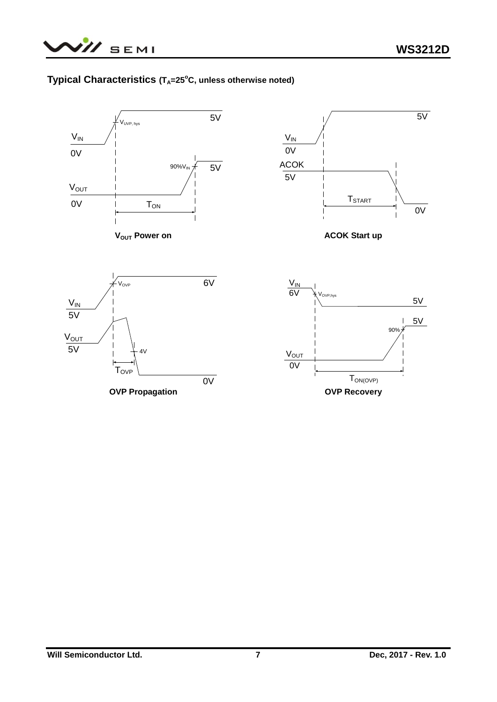## **Typical Characteristics (T<sub>A</sub>=25°C, unless otherwise noted)**

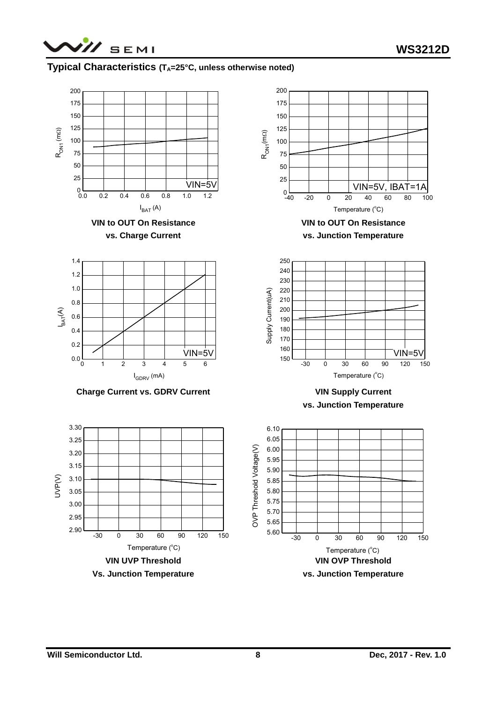

## **Typical Characteristics (T<sub>A</sub>=25°C, unless otherwise noted)**

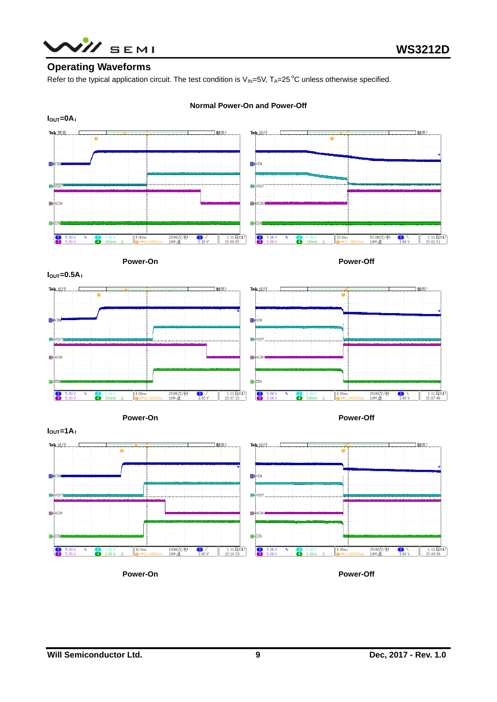

## **Operating Waveforms**

Refer to the typical application circuit. The test condition is  $V_{\text{IN}}=5V$ , T<sub>A</sub>=25 °C unless otherwise specified.



#### **Normal Power-On and Power-Off**



**Power-On Power-Off**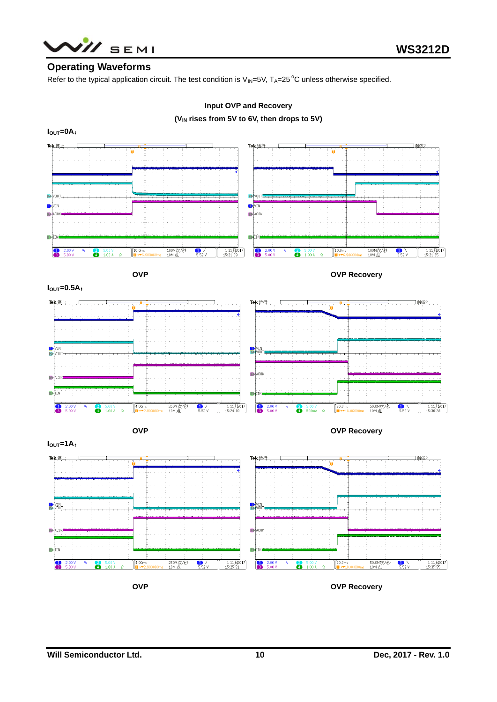

### **Operating Waveforms**

Refer to the typical application circuit. The test condition is  $V_{\text{IN}}=5V$ , T<sub>A</sub>=25 °C unless otherwise specified.



### **Input OVP and Recovery**

**(VIN rises from 5V to 6V, then drops to 5V)**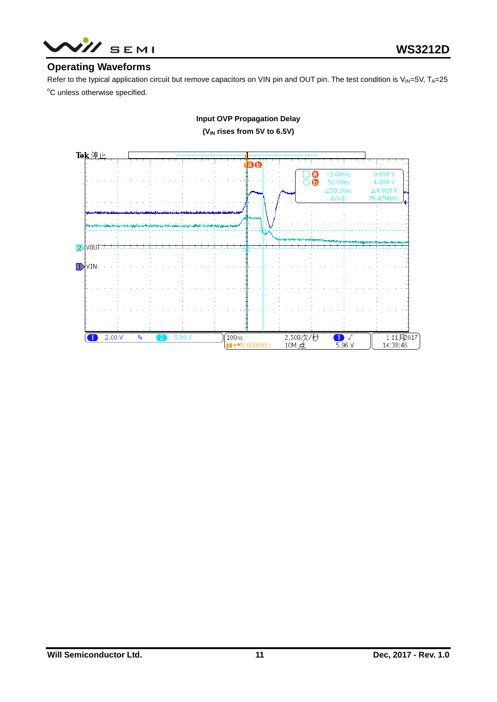

## **Operating Waveforms**

Refer to the typical application circuit but remove capacitors on VIN pin and OUT pin. The test condition is  $V_{IN}=5V$ , T<sub>A</sub>=25 °C unless otherwise specified.



**Input OVP Propagation Delay (VIN rises from 5V to 6.5V)**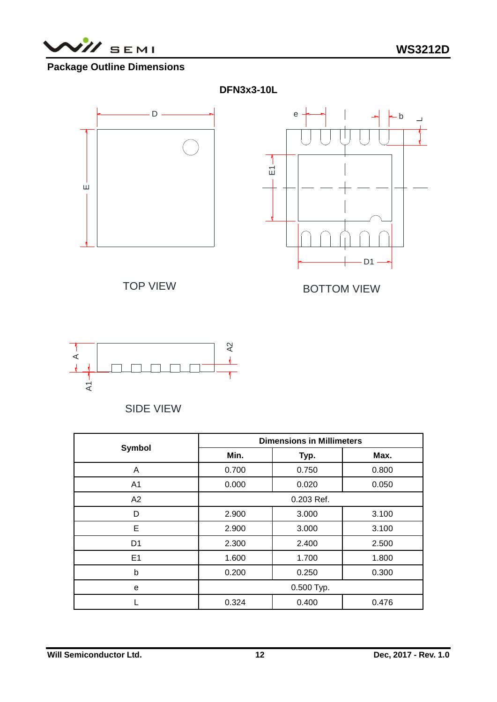

## **Package Outline Dimensions**



## SIDE VIEW

|                | <b>Dimensions in Millimeters</b> |                |       |  |  |
|----------------|----------------------------------|----------------|-------|--|--|
| <b>Symbol</b>  | Min.                             | Typ.           | Max.  |  |  |
| A              | 0.700                            | 0.750          | 0.800 |  |  |
| A1             | 0.000                            | 0.020          | 0.050 |  |  |
| A2             | 0.203 Ref.                       |                |       |  |  |
| D              | 2.900                            | 3.100<br>3.000 |       |  |  |
| Е              | 2.900                            | 3.000          |       |  |  |
| D <sub>1</sub> | 2.300<br>2.400<br>2.500          |                |       |  |  |
| E <sub>1</sub> | 1.600<br>1.700                   |                | 1.800 |  |  |
| b              | 0.200<br>0.250<br>0.300          |                |       |  |  |
| e              | 0.500 Typ.                       |                |       |  |  |
|                | 0.324<br>0.400<br>0.476          |                |       |  |  |